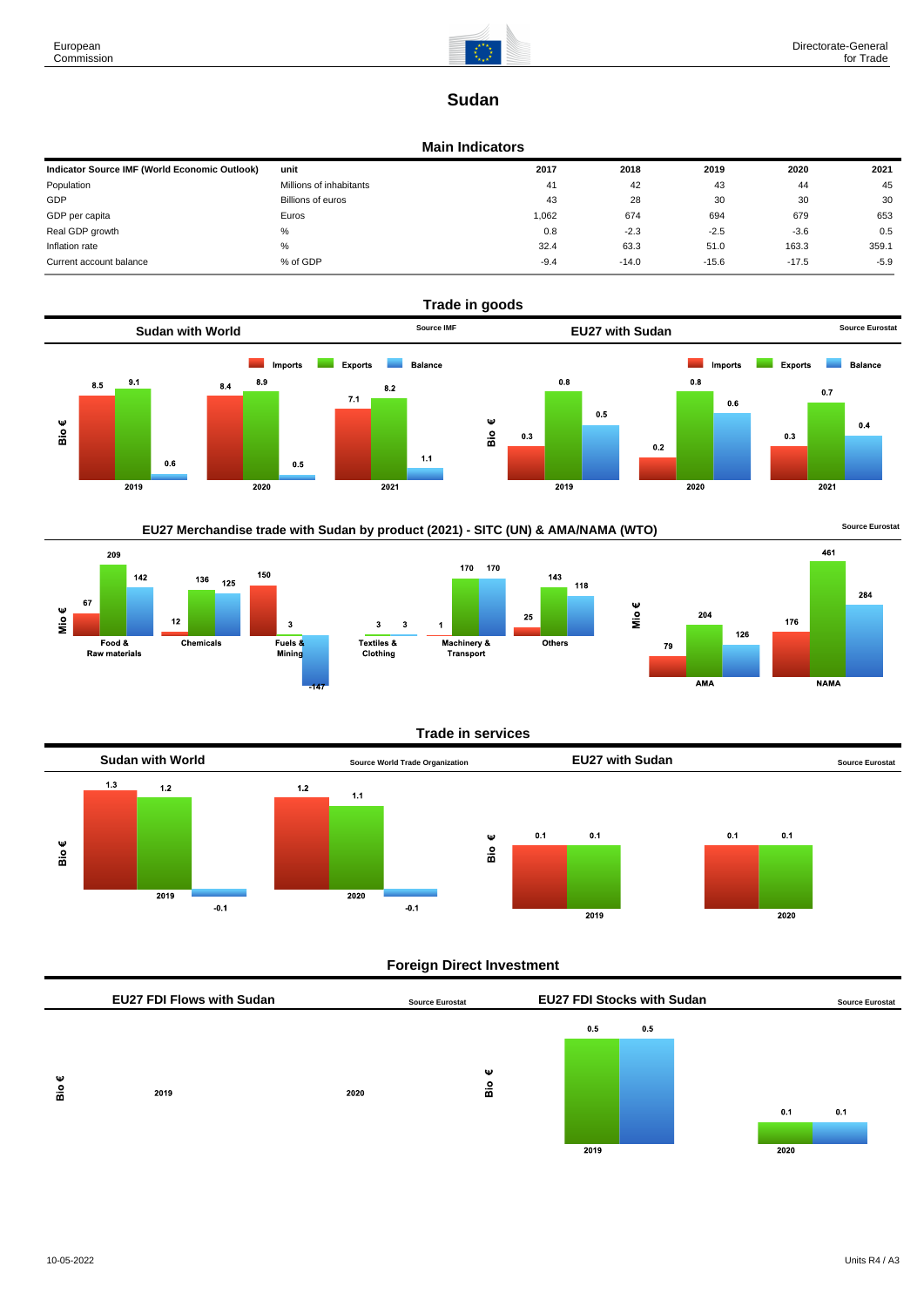

# **Sudan**

### **Main Indicators**

| Indicator Source IMF (World Economic Outlook) | unit                    | 2017   | 2018    | 2019    | 2020    | 2021   |
|-----------------------------------------------|-------------------------|--------|---------|---------|---------|--------|
| Population                                    | Millions of inhabitants | 41     | 42      | 43      | 44      | 45     |
| GDP                                           | Billions of euros       | 43     | 28      | 30      | 30      | 30     |
| GDP per capita                                | Euros                   | 1,062  | 674     | 694     | 679     | 653    |
| Real GDP growth                               | %                       | 0.8    | $-2.3$  | $-2.5$  | $-3.6$  | 0.5    |
| Inflation rate                                | %                       | 32.4   | 63.3    | 51.0    | 163.3   | 359.1  |
| Current account balance                       | % of GDP                | $-9.4$ | $-14.0$ | $-15.6$ | $-17.5$ | $-5.9$ |









**NAMA** 

Mio€

AMA

# **Trade in services**



# **Foreign Direct Investment**